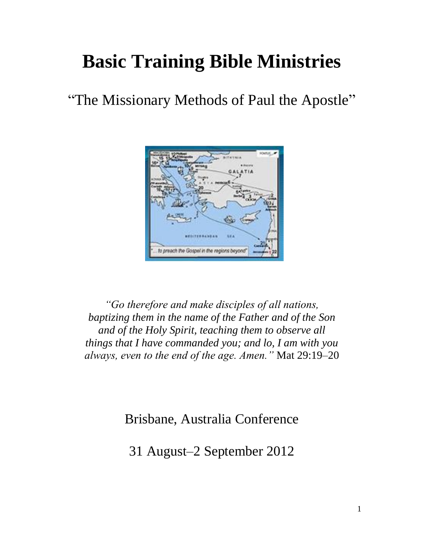# **Basic Training Bible Ministries**

"The Missionary Methods of Paul the Apostle"



*"Go therefore and make disciples of all nations, baptizing them in the name of the Father and of the Son and of the Holy Spirit, teaching them to observe all things that I have commanded you; and lo, I am with you always, even to the end of the age. Amen."* Mat 29:19–20

Brisbane, Australia Conference

31 August–2 September 2012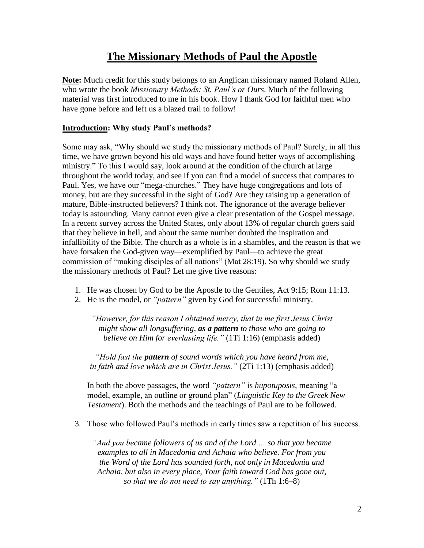# **The Missionary Methods of Paul the Apostle**

**Note:** Much credit for this study belongs to an Anglican missionary named Roland Allen, who wrote the book *Missionary Methods: St. Paul's or Ours*. Much of the following material was first introduced to me in his book. How I thank God for faithful men who have gone before and left us a blazed trail to follow!

### **Introduction: Why study Paul's methods?**

Some may ask, "Why should we study the missionary methods of Paul? Surely, in all this time, we have grown beyond his old ways and have found better ways of accomplishing ministry." To this I would say, look around at the condition of the church at large throughout the world today, and see if you can find a model of success that compares to Paul. Yes, we have our "mega-churches." They have huge congregations and lots of money, but are they successful in the sight of God? Are they raising up a generation of mature, Bible-instructed believers? I think not. The ignorance of the average believer today is astounding. Many cannot even give a clear presentation of the Gospel message. In a recent survey across the United States, only about 13% of regular church goers said that they believe in hell, and about the same number doubted the inspiration and infallibility of the Bible. The church as a whole is in a shambles, and the reason is that we have forsaken the God-given way—exemplified by Paul—to achieve the great commission of "making disciples of all nations" (Mat 28:19). So why should we study the missionary methods of Paul? Let me give five reasons:

- 1. He was chosen by God to be the Apostle to the Gentiles, Act 9:15; Rom 11:13.
- 2. He is the model, or *"pattern"* given by God for successful ministry.

*"However, for this reason I obtained mercy, that in me first Jesus Christ might show all longsuffering, as a pattern to those who are going to believe on Him for everlasting life."* (1Ti 1:16) (emphasis added)

*"Hold fast the pattern of sound words which you have heard from me, in faith and love which are in Christ Jesus."* (2Ti 1:13) (emphasis added)

In both the above passages, the word *"pattern"* is *hupotuposis*, meaning "a model, example, an outline or ground plan" (*Linguistic Key to the Greek New Testament*). Both the methods and the teachings of Paul are to be followed.

3. Those who followed Paul's methods in early times saw a repetition of his success.

*"And you became followers of us and of the Lord … so that you became examples to all in Macedonia and Achaia who believe. For from you the Word of the Lord has sounded forth, not only in Macedonia and Achaia, but also in every place, Your faith toward God has gone out, so that we do not need to say anything."* (1Th 1:6–8)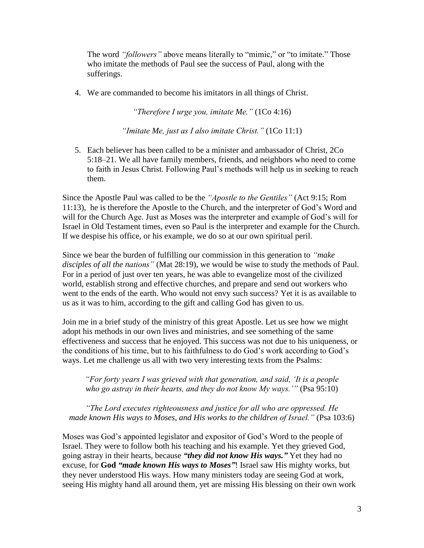The word *"followers"* above means literally to "mimic," or "to imitate." Those who imitate the methods of Paul see the success of Paul, along with the sufferings.

4. We are commanded to become his imitators in all things of Christ.

*"Therefore I urge you, imitate Me."* (1Co 4:16)

*"Imitate Me, just as I also imitate Christ."* (1Co 11:1)

5. Each believer has been called to be a minister and ambassador of Christ, 2Co 5:18–21. We all have family members, friends, and neighbors who need to come to faith in Jesus Christ. Following Paul's methods will help us in seeking to reach them.

Since the Apostle Paul was called to be the *"Apostle to the Gentiles"* (Act 9:15; Rom 11:13), he is therefore the Apostle to the Church, and the interpreter of God's Word and will for the Church Age. Just as Moses was the interpreter and example of God's will for Israel in Old Testament times, even so Paul is the interpreter and example for the Church. If we despise his office, or his example, we do so at our own spiritual peril.

Since we bear the burden of fulfilling our commission in this generation to *"make disciples of all the nations"* (Mat 28:19), we would be wise to study the methods of Paul. For in a period of just over ten years, he was able to evangelize most of the civilized world, establish strong and effective churches, and prepare and send out workers who went to the ends of the earth. Who would not envy such success? Yet it is as available to us as it was to him, according to the gift and calling God has given to us.

Join me in a brief study of the ministry of this great Apostle. Let us see how we might adopt his methods in our own lives and ministries, and see something of the same effectiveness and success that he enjoyed. This success was not due to his uniqueness, or the conditions of his time, but to his faithfulness to do God's work according to God's ways. Let me challenge us all with two very interesting texts from the Psalms:

*"For forty years I was grieved with that generation, and said, 'It is a people who go astray in their hearts, and they do not know My ways.'"* (Psa 95:10)

*"The Lord executes righteousness and justice for all who are oppressed. He made known His ways to Moses, and His works to the children of Israel."* (Psa 103:6)

Moses was God's appointed legislator and expositor of God's Word to the people of Israel. They were to follow both his teaching and his example. Yet they grieved God, going astray in their hearts, because *"they did not know His ways."* Yet they had no excuse, for **God** *"made known His ways to Moses"*! Israel saw His mighty works, but they never understood His ways. How many ministers today are seeing God at work, seeing His mighty hand all around them, yet are missing His blessing on their own work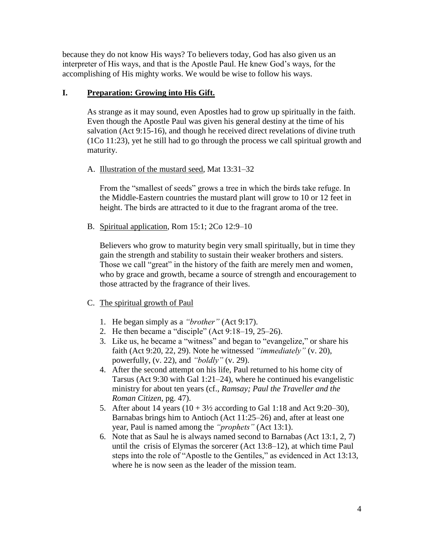because they do not know His ways? To believers today, God has also given us an interpreter of His ways, and that is the Apostle Paul. He knew God's ways, for the accomplishing of His mighty works. We would be wise to follow his ways.

### **I. Preparation: Growing into His Gift.**

As strange as it may sound, even Apostles had to grow up spiritually in the faith. Even though the Apostle Paul was given his general destiny at the time of his salvation (Act 9:15-16), and though he received direct revelations of divine truth (1Co 11:23), yet he still had to go through the process we call spiritual growth and maturity.

# A. Illustration of the mustard seed, Mat 13:31–32

From the "smallest of seeds" grows a tree in which the birds take refuge. In the Middle-Eastern countries the mustard plant will grow to 10 or 12 feet in height. The birds are attracted to it due to the fragrant aroma of the tree.

B. Spiritual application, Rom 15:1; 2Co 12:9–10

Believers who grow to maturity begin very small spiritually, but in time they gain the strength and stability to sustain their weaker brothers and sisters. Those we call "great" in the history of the faith are merely men and women, who by grace and growth, became a source of strength and encouragement to those attracted by the fragrance of their lives.

### C. The spiritual growth of Paul

- 1. He began simply as a *"brother"* (Act 9:17).
- 2. He then became a "disciple" (Act 9:18–19, 25–26).
- 3. Like us, he became a "witness" and began to "evangelize," or share his faith (Act 9:20, 22, 29). Note he witnessed *"immediately"* (v. 20), powerfully, (v. 22), and *"boldly"* (v. 29).
- 4. After the second attempt on his life, Paul returned to his home city of Tarsus (Act 9:30 with Gal 1:21–24), where he continued his evangelistic ministry for about ten years (cf., *Ramsay; Paul the Traveller and the Roman Citizen*, pg. 47).
- 5. After about 14 years  $(10 + 3\frac{1}{2})$  according to Gal 1:18 and Act 9:20–30), Barnabas brings him to Antioch (Act 11:25–26) and, after at least one year, Paul is named among the *"prophets"* (Act 13:1).
- 6. Note that as Saul he is always named second to Barnabas (Act 13:1, 2, 7) until the crisis of Elymas the sorcerer (Act 13:8–12), at which time Paul steps into the role of "Apostle to the Gentiles," as evidenced in Act 13:13, where he is now seen as the leader of the mission team.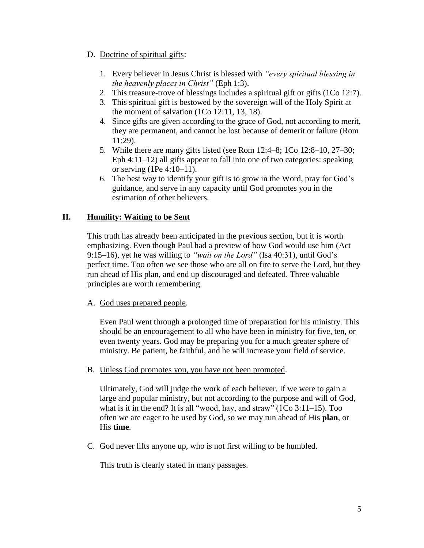#### D. Doctrine of spiritual gifts:

- 1. Every believer in Jesus Christ is blessed with *"every spiritual blessing in the heavenly places in Christ"* (Eph 1:3).
- 2. This treasure-trove of blessings includes a spiritual gift or gifts (1Co 12:7).
- 3. This spiritual gift is bestowed by the sovereign will of the Holy Spirit at the moment of salvation  $(1Co\ 12:11, 13, 18)$ .
- 4. Since gifts are given according to the grace of God, not according to merit, they are permanent, and cannot be lost because of demerit or failure (Rom 11:29).
- 5. While there are many gifts listed (see Rom 12:4–8; 1Co 12:8–10, 27–30; Eph 4:11–12) all gifts appear to fall into one of two categories: speaking or serving (1Pe 4:10–11).
- 6. The best way to identify your gift is to grow in the Word, pray for God's guidance, and serve in any capacity until God promotes you in the estimation of other believers.

# **II. Humility: Waiting to be Sent**

This truth has already been anticipated in the previous section, but it is worth emphasizing. Even though Paul had a preview of how God would use him (Act 9:15–16), yet he was willing to *"wait on the Lord"* (Isa 40:31), until God's perfect time. Too often we see those who are all on fire to serve the Lord, but they run ahead of His plan, and end up discouraged and defeated. Three valuable principles are worth remembering.

### A. God uses prepared people.

Even Paul went through a prolonged time of preparation for his ministry. This should be an encouragement to all who have been in ministry for five, ten, or even twenty years. God may be preparing you for a much greater sphere of ministry. Be patient, be faithful, and he will increase your field of service.

B. Unless God promotes you, you have not been promoted.

Ultimately, God will judge the work of each believer. If we were to gain a large and popular ministry, but not according to the purpose and will of God, what is it in the end? It is all "wood, hay, and straw"  $(1Co 3:11-15)$ . Too often we are eager to be used by God, so we may run ahead of His **plan**, or His **time**.

C. God never lifts anyone up, who is not first willing to be humbled.

This truth is clearly stated in many passages.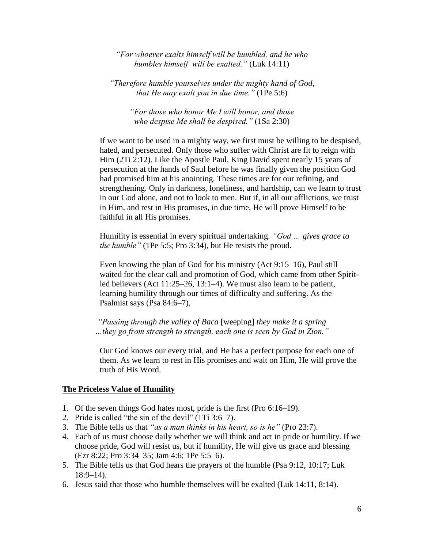*"For whoever exalts himself will be humbled, and he who humbles himself will be exalted."* (Luk 14:11)

*"Therefore humble yourselves under the mighty hand of God, that He may exalt you in due time."* (1Pe 5:6)

*"For those who honor Me I will honor, and those who despise Me shall be despised."* (1Sa 2:30)

If we want to be used in a mighty way, we first must be willing to be despised, hated, and persecuted. Only those who suffer with Christ are fit to reign with Him (2Ti 2:12). Like the Apostle Paul, King David spent nearly 15 years of persecution at the hands of Saul before he was finally given the position God had promised him at his anointing. These times are for our refining, and strengthening. Only in darkness, loneliness, and hardship, can we learn to trust in our God alone, and not to look to men. But if, in all our afflictions, we trust in Him, and rest in His promises, in due time, He will prove Himself to be faithful in all His promises.

Humility is essential in every spiritual undertaking. *"God … gives grace to the humble"* (1Pe 5:5; Pro 3:34), but He resists the proud.

Even knowing the plan of God for his ministry (Act 9:15–16), Paul still waited for the clear call and promotion of God, which came from other Spiritled believers (Act 11:25–26, 13:1–4). We must also learn to be patient, learning humility through our times of difficulty and suffering. As the Psalmist says (Psa 84:6–7),

*"Passing through the valley of Baca* [weeping] *they make it a spring …they go from strength to strength, each one is seen by God in Zion."*

Our God knows our every trial, and He has a perfect purpose for each one of them. As we learn to rest in His promises and wait on Him, He will prove the truth of His Word.

#### **The Priceless Value of Humility**

- 1. Of the seven things God hates most, pride is the first (Pro 6:16–19).
- 2. Pride is called "the sin of the devil" (1Ti 3:6–7).
- 3. The Bible tells us that *"as a man thinks in his heart, so is he"* (Pro 23:7).
- 4. Each of us must choose daily whether we will think and act in pride or humility. If we choose pride, God will resist us, but if humility, He will give us grace and blessing (Ezr 8:22; Pro 3:34–35; Jam 4:6; 1Pe 5:5–6).
- 5. The Bible tells us that God hears the prayers of the humble (Psa 9:12, 10:17; Luk 18:9–14).
- 6. Jesus said that those who humble themselves will be exalted (Luk 14:11, 8:14).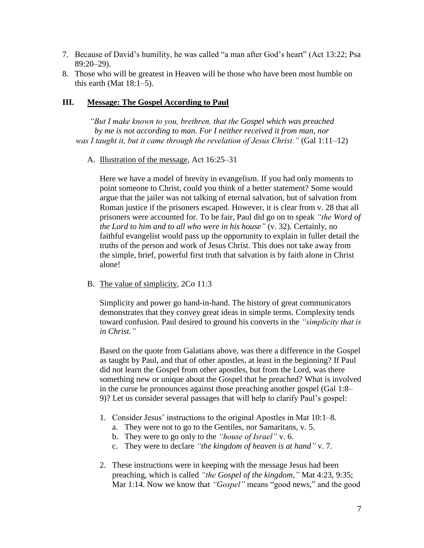- 7. Because of David's humility, he was called "a man after God's heart" (Act 13:22; Psa 89:20–29).
- 8. Those who will be greatest in Heaven will be those who have been most humble on this earth (Mat  $18:1-5$ ).

#### **III. Message: The Gospel According to Paul**

*"But I make known to you, brethren, that the Gospel which was preached by me is not according to man. For I neither received it from man, nor was I taught it, but it came through the revelation of Jesus Christ."* (Gal 1:11–12)

A. Illustration of the message, Act 16:25–31

Here we have a model of brevity in evangelism. If you had only moments to point someone to Christ, could you think of a better statement? Some would argue that the jailer was not talking of eternal salvation, but of salvation from Roman justice if the prisoners escaped. However, it is clear from v. 28 that all prisoners were accounted for. To be fair, Paul did go on to speak *"the Word of the Lord to him and to all who were in his house"* (v. 32). Certainly, no faithful evangelist would pass up the opportunity to explain in fuller detail the truths of the person and work of Jesus Christ. This does not take away from the simple, brief, powerful first truth that salvation is by faith alone in Christ alone!

B. The value of simplicity, 2Co 11:3

Simplicity and power go hand-in-hand. The history of great communicators demonstrates that they convey great ideas in simple terms. Complexity tends toward confusion. Paul desired to ground his converts in the *"simplicity that is in Christ."*

Based on the quote from Galatians above, was there a difference in the Gospel as taught by Paul, and that of other apostles, at least in the beginning? If Paul did not learn the Gospel from other apostles, but from the Lord, was there something new or unique about the Gospel that he preached? What is involved in the curse he pronounces against those preaching another gospel (Gal 1:8– 9)? Let us consider several passages that will help to clarify Paul's gospel:

- 1. Consider Jesus' instructions to the original Apostles in Mat 10:1–8.
	- a. They were not to go to the Gentiles, nor Samaritans, v. 5.
	- b. They were to go only to the *"house of Israel"* v. 6.
	- c. They were to declare *"the kingdom of heaven is at hand"* v. 7.
- 2. These instructions were in keeping with the message Jesus had been preaching, which is called *"the Gospel of the kingdom,"* Mat 4:23, 9:35; Mar 1:14. Now we know that *"Gospel"* means "good news," and the good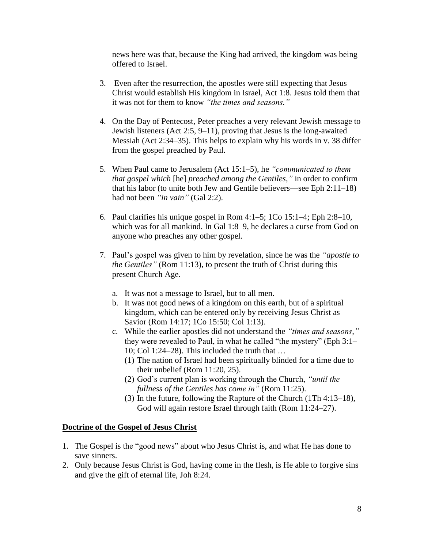news here was that, because the King had arrived, the kingdom was being offered to Israel.

- 3. Even after the resurrection, the apostles were still expecting that Jesus Christ would establish His kingdom in Israel, Act 1:8. Jesus told them that it was not for them to know *"the times and seasons."*
- 4. On the Day of Pentecost, Peter preaches a very relevant Jewish message to Jewish listeners (Act 2:5, 9–11), proving that Jesus is the long-awaited Messiah (Act 2:34–35). This helps to explain why his words in v. 38 differ from the gospel preached by Paul.
- 5. When Paul came to Jerusalem (Act 15:1–5), he *"communicated to them that gospel which* [he] *preached among the Gentiles,"* in order to confirm that his labor (to unite both Jew and Gentile believers—see Eph 2:11–18) had not been *"in vain"* (Gal 2:2).
- 6. Paul clarifies his unique gospel in Rom 4:1–5; 1Co 15:1–4; Eph 2:8–10, which was for all mankind. In Gal 1:8–9, he declares a curse from God on anyone who preaches any other gospel.
- 7. Paul's gospel was given to him by revelation, since he was the *"apostle to the Gentiles"* (Rom 11:13), to present the truth of Christ during this present Church Age.
	- a. It was not a message to Israel, but to all men.
	- b. It was not good news of a kingdom on this earth, but of a spiritual kingdom, which can be entered only by receiving Jesus Christ as Savior (Rom 14:17; 1Co 15:50; Col 1:13).
	- c. While the earlier apostles did not understand the *"times and seasons,"* they were revealed to Paul, in what he called "the mystery" (Eph 3:1– 10; Col 1:24–28). This included the truth that …
		- (1) The nation of Israel had been spiritually blinded for a time due to their unbelief (Rom 11:20, 25).
		- (2) God's current plan is working through the Church, *"until the fullness of the Gentiles has come in"* (Rom 11:25).
		- (3) In the future, following the Rapture of the Church (1Th 4:13–18), God will again restore Israel through faith (Rom 11:24–27).

#### **Doctrine of the Gospel of Jesus Christ**

- 1. The Gospel is the "good news" about who Jesus Christ is, and what He has done to save sinners.
- 2. Only because Jesus Christ is God, having come in the flesh, is He able to forgive sins and give the gift of eternal life, Joh 8:24.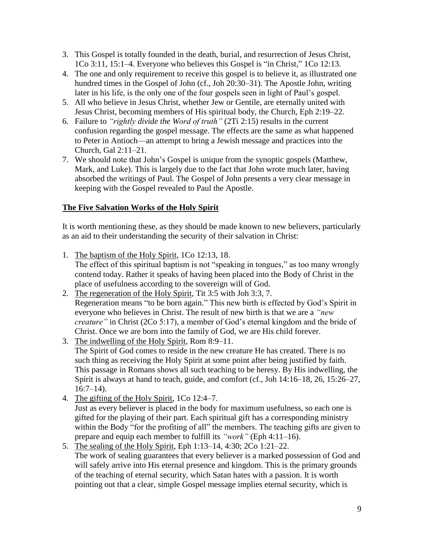- 3. This Gospel is totally founded in the death, burial, and resurrection of Jesus Christ, 1Co 3:11, 15:1–4. Everyone who believes this Gospel is "in Christ," 1Co 12:13.
- 4. The one and only requirement to receive this gospel is to believe it, as illustrated one hundred times in the Gospel of John (cf., Joh 20:30–31). The Apostle John, writing later in his life, is the only one of the four gospels seen in light of Paul's gospel.
- 5. All who believe in Jesus Christ, whether Jew or Gentile, are eternally united with Jesus Christ, becoming members of His spiritual body, the Church, Eph 2:19–22.
- 6. Failure to *"rightly divide the Word of truth"* (2Ti 2:15) results in the current confusion regarding the gospel message. The effects are the same as what happened to Peter in Antioch—an attempt to bring a Jewish message and practices into the Church, Gal 2:11–21.
- 7. We should note that John's Gospel is unique from the synoptic gospels (Matthew, Mark, and Luke). This is largely due to the fact that John wrote much later, having absorbed the writings of Paul. The Gospel of John presents a very clear message in keeping with the Gospel revealed to Paul the Apostle.

# **The Five Salvation Works of the Holy Spirit**

It is worth mentioning these, as they should be made known to new believers, particularly as an aid to their understanding the security of their salvation in Christ:

- 1. The baptism of the Holy Spirit, 1Co 12:13, 18. The effect of this spiritual baptism is not "speaking in tongues," as too many wrongly contend today. Rather it speaks of having been placed into the Body of Christ in the place of usefulness according to the sovereign will of God.
- 2. The regeneration of the Holy Spirit, Tit 3:5 with Joh 3:3, 7. Regeneration means "to be born again." This new birth is effected by God's Spirit in everyone who believes in Christ. The result of new birth is that we are a *"new creature"* in Christ (2Co 5:17), a member of God's eternal kingdom and the bride of Christ. Once we are born into the family of God, we are His child forever.
- 3. The indwelling of the Holy Spirit, Rom 8:9–11. The Spirit of God comes to reside in the new creature He has created. There is no such thing as receiving the Holy Spirit at some point after being justified by faith. This passage in Romans shows all such teaching to be heresy. By His indwelling, the Spirit is always at hand to teach, guide, and comfort (cf., Joh 14:16–18, 26, 15:26–27,  $16:7-14$ ).
- 4. The gifting of the Holy Spirit, 1Co 12:4–7. Just as every believer is placed in the body for maximum usefulness, so each one is gifted for the playing of their part. Each spiritual gift has a corresponding ministry within the Body "for the profiting of all" the members. The teaching gifts are given to prepare and equip each member to fulfill its *"work"* (Eph 4:11–16).
- 5. The sealing of the Holy Spirit, Eph 1:13–14, 4:30; 2Co 1:21–22. The work of sealing guarantees that every believer is a marked possession of God and will safely arrive into His eternal presence and kingdom. This is the primary grounds of the teaching of eternal security, which Satan hates with a passion. It is worth pointing out that a clear, simple Gospel message implies eternal security, which is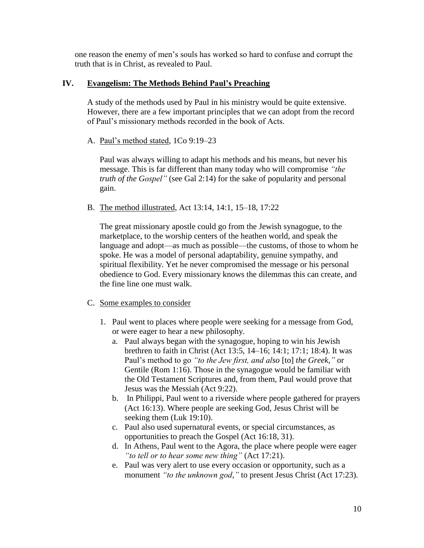one reason the enemy of men's souls has worked so hard to confuse and corrupt the truth that is in Christ, as revealed to Paul.

### **IV. Evangelism: The Methods Behind Paul's Preaching**

A study of the methods used by Paul in his ministry would be quite extensive. However, there are a few important principles that we can adopt from the record of Paul's missionary methods recorded in the book of Acts.

A. Paul's method stated, 1Co 9:19–23

Paul was always willing to adapt his methods and his means, but never his message. This is far different than many today who will compromise *"the truth of the Gospel"* (see Gal 2:14) for the sake of popularity and personal gain.

B. The method illustrated, Act 13:14, 14:1, 15–18, 17:22

The great missionary apostle could go from the Jewish synagogue, to the marketplace, to the worship centers of the heathen world, and speak the language and adopt—as much as possible—the customs, of those to whom he spoke. He was a model of personal adaptability, genuine sympathy, and spiritual flexibility. Yet he never compromised the message or his personal obedience to God. Every missionary knows the dilemmas this can create, and the fine line one must walk.

- C. Some examples to consider
	- 1. Paul went to places where people were seeking for a message from God, or were eager to hear a new philosophy.
		- a. Paul always began with the synagogue, hoping to win his Jewish brethren to faith in Christ (Act 13:5, 14–16; 14:1; 17:1; 18:4). It was Paul's method to go *"to the Jew first, and also* [to] *the Greek,"* or Gentile (Rom 1:16). Those in the synagogue would be familiar with the Old Testament Scriptures and, from them, Paul would prove that Jesus was the Messiah (Act 9:22).
		- b. In Philippi, Paul went to a riverside where people gathered for prayers (Act 16:13). Where people are seeking God, Jesus Christ will be seeking them (Luk 19:10).
		- c. Paul also used supernatural events, or special circumstances, as opportunities to preach the Gospel (Act 16:18, 31).
		- d. In Athens, Paul went to the Agora, the place where people were eager *"to tell or to hear some new thing"* (Act 17:21).
		- e. Paul was very alert to use every occasion or opportunity, such as a monument *"to the unknown god,"* to present Jesus Christ (Act 17:23).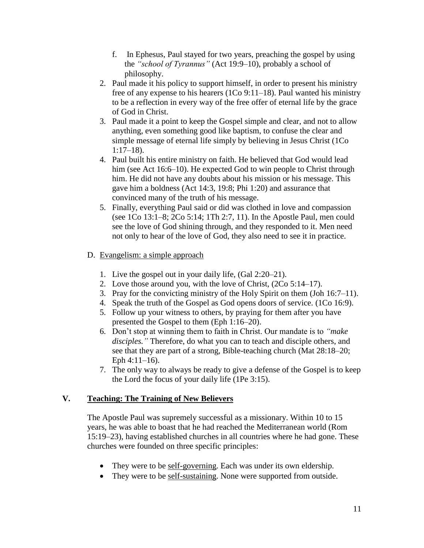- f. In Ephesus, Paul stayed for two years, preaching the gospel by using the *"school of Tyrannus"* (Act 19:9–10), probably a school of philosophy.
- 2. Paul made it his policy to support himself, in order to present his ministry free of any expense to his hearers (1Co 9:11–18). Paul wanted his ministry to be a reflection in every way of the free offer of eternal life by the grace of God in Christ.
- 3. Paul made it a point to keep the Gospel simple and clear, and not to allow anything, even something good like baptism, to confuse the clear and simple message of eternal life simply by believing in Jesus Christ (1Co 1:17–18).
- 4. Paul built his entire ministry on faith. He believed that God would lead him (see Act 16:6–10). He expected God to win people to Christ through him. He did not have any doubts about his mission or his message. This gave him a boldness (Act 14:3, 19:8; Phi 1:20) and assurance that convinced many of the truth of his message.
- 5. Finally, everything Paul said or did was clothed in love and compassion (see 1Co 13:1–8; 2Co 5:14; 1Th 2:7, 11). In the Apostle Paul, men could see the love of God shining through, and they responded to it. Men need not only to hear of the love of God, they also need to see it in practice.
- D. Evangelism: a simple approach
	- 1. Live the gospel out in your daily life, (Gal 2:20–21).
	- 2. Love those around you, with the love of Christ, (2Co 5:14–17).
	- 3. Pray for the convicting ministry of the Holy Spirit on them (Joh 16:7–11).
	- 4. Speak the truth of the Gospel as God opens doors of service. (1Co 16:9).
	- 5. Follow up your witness to others, by praying for them after you have presented the Gospel to them (Eph 1:16–20).
	- 6. Don't stop at winning them to faith in Christ. Our mandate is to *"make disciples."* Therefore, do what you can to teach and disciple others, and see that they are part of a strong, Bible-teaching church (Mat 28:18–20; Eph 4:11–16).
	- 7. The only way to always be ready to give a defense of the Gospel is to keep the Lord the focus of your daily life (1Pe 3:15).

### **V. Teaching: The Training of New Believers**

The Apostle Paul was supremely successful as a missionary. Within 10 to 15 years, he was able to boast that he had reached the Mediterranean world (Rom 15:19–23), having established churches in all countries where he had gone. These churches were founded on three specific principles:

- They were to be self-governing. Each was under its own eldership.
- They were to be self-sustaining. None were supported from outside.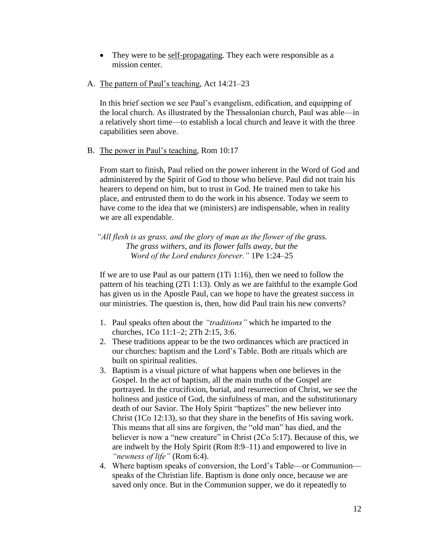- They were to be <u>self-propagating</u>. They each were responsible as a mission center.
- A. The pattern of Paul's teaching, Act 14:21–23

In this brief section we see Paul's evangelism, edification, and equipping of the local church. As illustrated by the Thessalonian church, Paul was able—in a relatively short time—to establish a local church and leave it with the three capabilities seen above.

B. The power in Paul's teaching, Rom 10:17

From start to finish, Paul relied on the power inherent in the Word of God and administered by the Spirit of God to those who believe. Paul did not train his hearers to depend on him, but to trust in God. He trained men to take his place, and entrusted them to do the work in his absence. Today we seem to have come to the idea that we (ministers) are indispensable, when in reality we are all expendable.

*"All flesh is as grass, and the glory of man as the flower of the grass. The grass withers, and its flower falls away, but the Word of the Lord endures forever."* 1Pe 1:24–25

If we are to use Paul as our pattern (1Ti 1:16), then we need to follow the pattern of his teaching (2Ti 1:13). Only as we are faithful to the example God has given us in the Apostle Paul, can we hope to have the greatest success in our ministries. The question is, then, how did Paul train his new converts?

- 1. Paul speaks often about the *"traditions"* which he imparted to the churches, 1Co 11:1–2; 2Th 2:15, 3:6.
- 2. These traditions appear to be the two ordinances which are practiced in our churches: baptism and the Lord's Table. Both are rituals which are built on spiritual realities.
- 3. Baptism is a visual picture of what happens when one believes in the Gospel. In the act of baptism, all the main truths of the Gospel are portrayed. In the crucifixion, burial, and resurrection of Christ, we see the holiness and justice of God, the sinfulness of man, and the substitutionary death of our Savior. The Holy Spirit "baptizes" the new believer into Christ (1Co 12:13), so that they share in the benefits of His saving work. This means that all sins are forgiven, the "old man" has died, and the believer is now a "new creature" in Christ (2Co 5:17). Because of this, we are indwelt by the Holy Spirit (Rom 8:9–11) and empowered to live in *"newness of life"* (Rom 6:4).
- 4. Where baptism speaks of conversion, the Lord's Table—or Communion speaks of the Christian life. Baptism is done only once, because we are saved only once. But in the Communion supper, we do it repeatedly to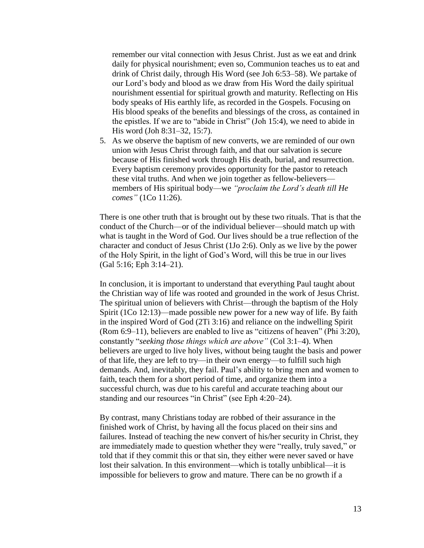remember our vital connection with Jesus Christ. Just as we eat and drink daily for physical nourishment; even so, Communion teaches us to eat and drink of Christ daily, through His Word (see Joh 6:53–58). We partake of our Lord's body and blood as we draw from His Word the daily spiritual nourishment essential for spiritual growth and maturity. Reflecting on His body speaks of His earthly life, as recorded in the Gospels. Focusing on His blood speaks of the benefits and blessings of the cross, as contained in the epistles. If we are to "abide in Christ" (Joh 15:4), we need to abide in His word (Joh 8:31–32, 15:7).

5. As we observe the baptism of new converts, we are reminded of our own union with Jesus Christ through faith, and that our salvation is secure because of His finished work through His death, burial, and resurrection. Every baptism ceremony provides opportunity for the pastor to reteach these vital truths. And when we join together as fellow-believers members of His spiritual body—we *"proclaim the Lord's death till He comes"* (1Co 11:26).

There is one other truth that is brought out by these two rituals. That is that the conduct of the Church—or of the individual believer—should match up with what is taught in the Word of God. Our lives should be a true reflection of the character and conduct of Jesus Christ (1Jo 2:6). Only as we live by the power of the Holy Spirit, in the light of God's Word, will this be true in our lives (Gal 5:16; Eph 3:14–21).

In conclusion, it is important to understand that everything Paul taught about the Christian way of life was rooted and grounded in the work of Jesus Christ. The spiritual union of believers with Christ—through the baptism of the Holy Spirit (1Co 12:13)—made possible new power for a new way of life. By faith in the inspired Word of God (2Ti 3:16) and reliance on the indwelling Spirit (Rom 6:9–11), believers are enabled to live as "citizens of heaven" (Phi 3:20), constantly "*seeking those things which are above"* (Col 3:1–4). When believers are urged to live holy lives, without being taught the basis and power of that life, they are left to try—in their own energy—to fulfill such high demands. And, inevitably, they fail. Paul's ability to bring men and women to faith, teach them for a short period of time, and organize them into a successful church, was due to his careful and accurate teaching about our standing and our resources "in Christ" (see Eph 4:20–24).

By contrast, many Christians today are robbed of their assurance in the finished work of Christ, by having all the focus placed on their sins and failures. Instead of teaching the new convert of his/her security in Christ, they are immediately made to question whether they were "really, truly saved," or told that if they commit this or that sin, they either were never saved or have lost their salvation. In this environment—which is totally unbiblical—it is impossible for believers to grow and mature. There can be no growth if a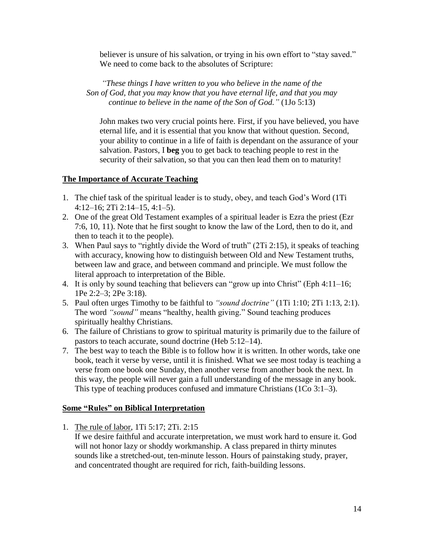believer is unsure of his salvation, or trying in his own effort to "stay saved." We need to come back to the absolutes of Scripture:

*"These things I have written to you who believe in the name of the Son of God, that you may know that you have eternal life, and that you may continue to believe in the name of the Son of God."* (1Jo 5:13)

John makes two very crucial points here. First, if you have believed, you have eternal life, and it is essential that you know that without question. Second, your ability to continue in a life of faith is dependant on the assurance of your salvation. Pastors, I **beg** you to get back to teaching people to rest in the security of their salvation, so that you can then lead them on to maturity!

# **The Importance of Accurate Teaching**

- 1. The chief task of the spiritual leader is to study, obey, and teach God's Word (1Ti 4:12–16; 2Ti 2:14–15, 4:1–5).
- 2. One of the great Old Testament examples of a spiritual leader is Ezra the priest (Ezr 7:6, 10, 11). Note that he first sought to know the law of the Lord, then to do it, and then to teach it to the people).
- 3. When Paul says to "rightly divide the Word of truth" (2Ti 2:15), it speaks of teaching with accuracy, knowing how to distinguish between Old and New Testament truths, between law and grace, and between command and principle. We must follow the literal approach to interpretation of the Bible.
- 4. It is only by sound teaching that believers can "grow up into Christ" (Eph 4:11–16; 1Pe 2:2–3; 2Pe 3:18).
- 5. Paul often urges Timothy to be faithful to *"sound doctrine"* (1Ti 1:10; 2Ti 1:13, 2:1). The word *"sound"* means "healthy, health giving." Sound teaching produces spiritually healthy Christians.
- 6. The failure of Christians to grow to spiritual maturity is primarily due to the failure of pastors to teach accurate, sound doctrine (Heb 5:12–14).
- 7. The best way to teach the Bible is to follow how it is written. In other words, take one book, teach it verse by verse, until it is finished. What we see most today is teaching a verse from one book one Sunday, then another verse from another book the next. In this way, the people will never gain a full understanding of the message in any book. This type of teaching produces confused and immature Christians (1Co 3:1–3).

### **Some "Rules" on Biblical Interpretation**

1. The rule of labor, 1Ti 5:17; 2Ti. 2:15

If we desire faithful and accurate interpretation, we must work hard to ensure it. God will not honor lazy or shoddy workmanship. A class prepared in thirty minutes sounds like a stretched-out, ten-minute lesson. Hours of painstaking study, prayer, and concentrated thought are required for rich, faith-building lessons.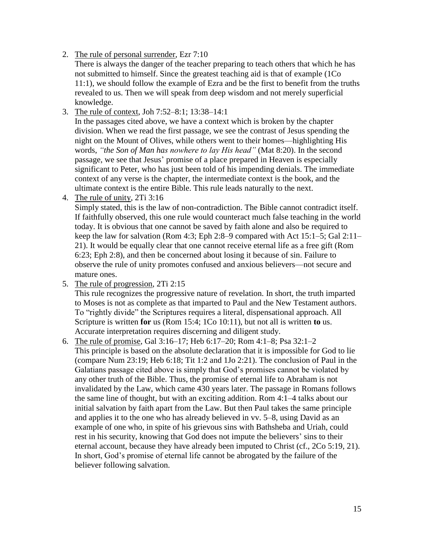2. The rule of personal surrender, Ezr 7:10

There is always the danger of the teacher preparing to teach others that which he has not submitted to himself. Since the greatest teaching aid is that of example (1Co 11:1), we should follow the example of Ezra and be the first to benefit from the truths revealed to us. Then we will speak from deep wisdom and not merely superficial knowledge.

3. The rule of context, Joh 7:52–8:1; 13:38–14:1

In the passages cited above, we have a context which is broken by the chapter division. When we read the first passage, we see the contrast of Jesus spending the night on the Mount of Olives, while others went to their homes—highlighting His words, *"the Son of Man has nowhere to lay His head"* (Mat 8:20). In the second passage, we see that Jesus' promise of a place prepared in Heaven is especially significant to Peter, who has just been told of his impending denials. The immediate context of any verse is the chapter, the intermediate context is the book, and the ultimate context is the entire Bible. This rule leads naturally to the next.

4. The rule of unity, 2Ti 3:16

Simply stated, this is the law of non-contradiction. The Bible cannot contradict itself. If faithfully observed, this one rule would counteract much false teaching in the world today. It is obvious that one cannot be saved by faith alone and also be required to keep the law for salvation (Rom 4:3; Eph 2:8–9 compared with Act 15:1–5; Gal 2:11– 21). It would be equally clear that one cannot receive eternal life as a free gift (Rom 6:23; Eph 2:8), and then be concerned about losing it because of sin. Failure to observe the rule of unity promotes confused and anxious believers—not secure and mature ones.

5. The rule of progression, 2Ti 2:15

This rule recognizes the progressive nature of revelation. In short, the truth imparted to Moses is not as complete as that imparted to Paul and the New Testament authors. To "rightly divide" the Scriptures requires a literal, dispensational approach. All Scripture is written **for** us (Rom 15:4; 1Co 10:11), but not all is written **to** us. Accurate interpretation requires discerning and diligent study.

6. The rule of promise, Gal 3:16–17; Heb 6:17–20; Rom 4:1–8; Psa 32:1–2 This principle is based on the absolute declaration that it is impossible for God to lie (compare Num 23:19; Heb 6:18; Tit 1:2 and 1Jo 2:21). The conclusion of Paul in the Galatians passage cited above is simply that God's promises cannot be violated by any other truth of the Bible. Thus, the promise of eternal life to Abraham is not invalidated by the Law, which came 430 years later. The passage in Romans follows the same line of thought, but with an exciting addition. Rom 4:1–4 talks about our initial salvation by faith apart from the Law. But then Paul takes the same principle and applies it to the one who has already believed in vv. 5–8, using David as an example of one who, in spite of his grievous sins with Bathsheba and Uriah, could rest in his security, knowing that God does not impute the believers' sins to their eternal account, because they have already been imputed to Christ (cf., 2Co 5:19, 21). In short, God's promise of eternal life cannot be abrogated by the failure of the believer following salvation.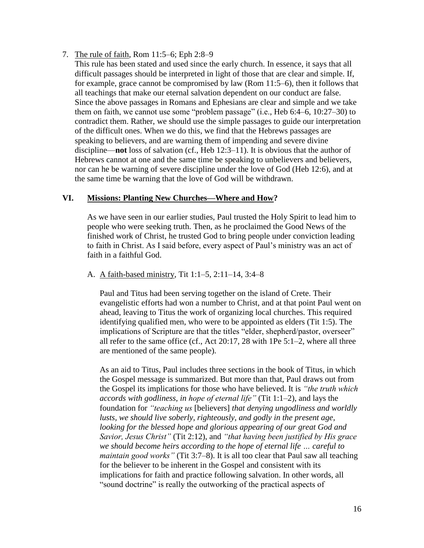- 7. The rule of faith, Rom 11:5–6; Eph 2:8–9
	- This rule has been stated and used since the early church. In essence, it says that all difficult passages should be interpreted in light of those that are clear and simple. If, for example, grace cannot be compromised by law (Rom 11:5–6), then it follows that all teachings that make our eternal salvation dependent on our conduct are false. Since the above passages in Romans and Ephesians are clear and simple and we take them on faith, we cannot use some "problem passage" (i.e., Heb 6:4–6, 10:27–30) to contradict them. Rather, we should use the simple passages to guide our interpretation of the difficult ones. When we do this, we find that the Hebrews passages are speaking to believers, and are warning them of impending and severe divine discipline—**not** loss of salvation (cf., Heb 12:3–11). It is obvious that the author of Hebrews cannot at one and the same time be speaking to unbelievers and believers, nor can he be warning of severe discipline under the love of God (Heb 12:6), and at the same time be warning that the love of God will be withdrawn.

#### **VI. Missions: Planting New Churches—Where and How?**

As we have seen in our earlier studies, Paul trusted the Holy Spirit to lead him to people who were seeking truth. Then, as he proclaimed the Good News of the finished work of Christ, he trusted God to bring people under conviction leading to faith in Christ. As I said before, every aspect of Paul's ministry was an act of faith in a faithful God.

#### A. A faith-based ministry, Tit 1:1–5, 2:11–14, 3:4–8

Paul and Titus had been serving together on the island of Crete. Their evangelistic efforts had won a number to Christ, and at that point Paul went on ahead, leaving to Titus the work of organizing local churches. This required identifying qualified men, who were to be appointed as elders (Tit 1:5). The implications of Scripture are that the titles "elder, shepherd/pastor, overseer" all refer to the same office (cf., Act 20:17, 28 with 1Pe 5:1–2, where all three are mentioned of the same people).

As an aid to Titus, Paul includes three sections in the book of Titus, in which the Gospel message is summarized. But more than that, Paul draws out from the Gospel its implications for those who have believed. It is *"the truth which accords with godliness, in hope of eternal life"* (Tit 1:1–2), and lays the foundation for *"teaching us* [believers] *that denying ungodliness and worldly lusts, we should live soberly, righteously, and godly in the present age, looking for the blessed hope and glorious appearing of our great God and Savior, Jesus Christ"* (Tit 2:12), and *"that having been justified by His grace we should become heirs according to the hope of eternal life … careful to maintain good works"* (Tit 3:7–8). It is all too clear that Paul saw all teaching for the believer to be inherent in the Gospel and consistent with its implications for faith and practice following salvation. In other words, all "sound doctrine" is really the outworking of the practical aspects of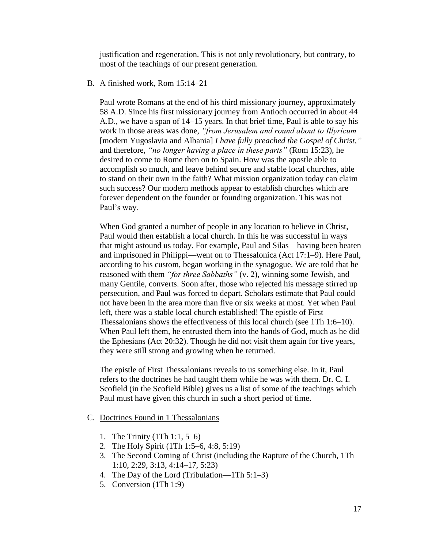justification and regeneration. This is not only revolutionary, but contrary, to most of the teachings of our present generation.

#### B. A finished work, Rom 15:14–21

Paul wrote Romans at the end of his third missionary journey, approximately 58 A.D. Since his first missionary journey from Antioch occurred in about 44 A.D., we have a span of 14–15 years. In that brief time, Paul is able to say his work in those areas was done, *"from Jerusalem and round about to Illyricum* [modern Yugoslavia and Albania] *I have fully preached the Gospel of Christ,"* and therefore, *"no longer having a place in these parts"* (Rom 15:23), he desired to come to Rome then on to Spain. How was the apostle able to accomplish so much, and leave behind secure and stable local churches, able to stand on their own in the faith? What mission organization today can claim such success? Our modern methods appear to establish churches which are forever dependent on the founder or founding organization. This was not Paul's way.

When God granted a number of people in any location to believe in Christ, Paul would then establish a local church. In this he was successful in ways that might astound us today. For example, Paul and Silas—having been beaten and imprisoned in Philippi—went on to Thessalonica (Act 17:1–9). Here Paul, according to his custom, began working in the synagogue. We are told that he reasoned with them *"for three Sabbaths"* (v. 2), winning some Jewish, and many Gentile, converts. Soon after, those who rejected his message stirred up persecution, and Paul was forced to depart. Scholars estimate that Paul could not have been in the area more than five or six weeks at most. Yet when Paul left, there was a stable local church established! The epistle of First Thessalonians shows the effectiveness of this local church (see 1Th 1:6–10). When Paul left them, he entrusted them into the hands of God, much as he did the Ephesians (Act 20:32). Though he did not visit them again for five years, they were still strong and growing when he returned.

The epistle of First Thessalonians reveals to us something else. In it, Paul refers to the doctrines he had taught them while he was with them. Dr. C. I. Scofield (in the Scofield Bible) gives us a list of some of the teachings which Paul must have given this church in such a short period of time.

#### C. Doctrines Found in 1 Thessalonians

- 1. The Trinity (1Th 1:1, 5–6)
- 2. The Holy Spirit (1Th 1:5–6, 4:8, 5:19)
- 3. The Second Coming of Christ (including the Rapture of the Church, 1Th 1:10, 2:29, 3:13, 4:14–17, 5:23)
- 4. The Day of the Lord (Tribulation—1Th 5:1–3)
- 5. Conversion (1Th 1:9)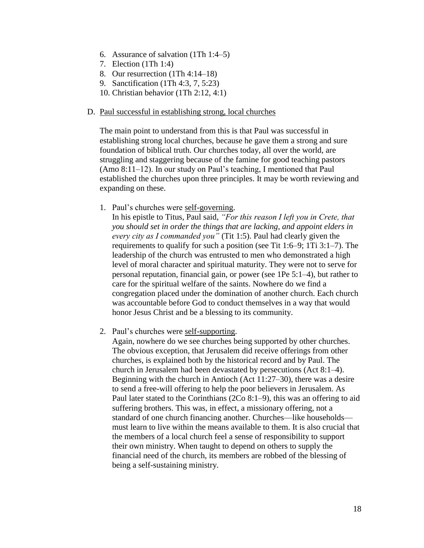- 6. Assurance of salvation (1Th 1:4–5)
- 7. Election (1Th 1:4)
- 8. Our resurrection (1Th 4:14–18)
- 9. Sanctification (1Th 4:3, 7, 5:23)
- 10. Christian behavior (1Th 2:12, 4:1)

#### D. Paul successful in establishing strong, local churches

The main point to understand from this is that Paul was successful in establishing strong local churches, because he gave them a strong and sure foundation of biblical truth. Our churches today, all over the world, are struggling and staggering because of the famine for good teaching pastors (Amo 8:11–12). In our study on Paul's teaching, I mentioned that Paul established the churches upon three principles. It may be worth reviewing and expanding on these.

1. Paul's churches were self-governing.

In his epistle to Titus, Paul said, *"For this reason I left you in Crete, that you should set in order the things that are lacking, and appoint elders in every city as I commanded you"* (Tit 1:5). Paul had clearly given the requirements to qualify for such a position (see Tit 1:6–9; 1Ti 3:1–7). The leadership of the church was entrusted to men who demonstrated a high level of moral character and spiritual maturity. They were not to serve for personal reputation, financial gain, or power (see 1Pe 5:1–4), but rather to care for the spiritual welfare of the saints. Nowhere do we find a congregation placed under the domination of another church. Each church was accountable before God to conduct themselves in a way that would honor Jesus Christ and be a blessing to its community.

2. Paul's churches were self-supporting.

Again, nowhere do we see churches being supported by other churches. The obvious exception, that Jerusalem did receive offerings from other churches, is explained both by the historical record and by Paul. The church in Jerusalem had been devastated by persecutions (Act 8:1–4). Beginning with the church in Antioch (Act 11:27–30), there was a desire to send a free-will offering to help the poor believers in Jerusalem. As Paul later stated to the Corinthians (2Co 8:1–9), this was an offering to aid suffering brothers. This was, in effect, a missionary offering, not a standard of one church financing another. Churches—like households must learn to live within the means available to them. It is also crucial that the members of a local church feel a sense of responsibility to support their own ministry. When taught to depend on others to supply the financial need of the church, its members are robbed of the blessing of being a self-sustaining ministry.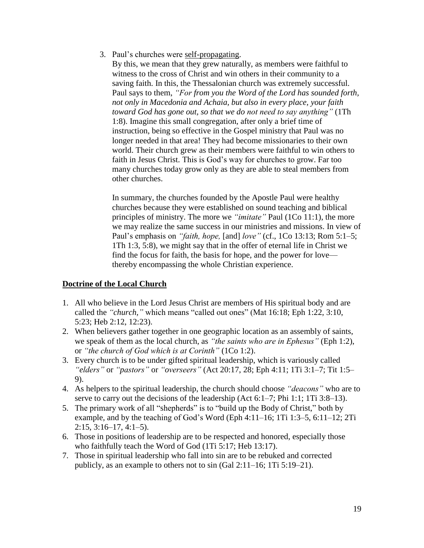3. Paul's churches were self-propagating.

By this, we mean that they grew naturally, as members were faithful to witness to the cross of Christ and win others in their community to a saving faith. In this, the Thessalonian church was extremely successful. Paul says to them, *"For from you the Word of the Lord has sounded forth, not only in Macedonia and Achaia, but also in every place, your faith toward God has gone out, so that we do not need to say anything"* (1Th 1:8). Imagine this small congregation, after only a brief time of instruction, being so effective in the Gospel ministry that Paul was no longer needed in that area! They had become missionaries to their own world. Their church grew as their members were faithful to win others to faith in Jesus Christ. This is God's way for churches to grow. Far too many churches today grow only as they are able to steal members from other churches.

In summary, the churches founded by the Apostle Paul were healthy churches because they were established on sound teaching and biblical principles of ministry. The more we *"imitate"* Paul (1Co 11:1), the more we may realize the same success in our ministries and missions. In view of Paul's emphasis on *"faith, hope,* [and] *love"* (cf., 1Co 13:13; Rom 5:1–5; 1Th 1:3, 5:8), we might say that in the offer of eternal life in Christ we find the focus for faith, the basis for hope, and the power for love thereby encompassing the whole Christian experience.

### **Doctrine of the Local Church**

- 1. All who believe in the Lord Jesus Christ are members of His spiritual body and are called the *"church,"* which means "called out ones" (Mat 16:18; Eph 1:22, 3:10, 5:23; Heb 2:12, 12:23).
- 2. When believers gather together in one geographic location as an assembly of saints, we speak of them as the local church, as *"the saints who are in Ephesus"* (Eph 1:2), or *"the church of God which is at Corinth"* (1Co 1:2).
- 3. Every church is to be under gifted spiritual leadership, which is variously called *"elders"* or *"pastors"* or *"overseers"* (Act 20:17, 28; Eph 4:11; 1Ti 3:1–7; Tit 1:5– 9).
- 4. As helpers to the spiritual leadership, the church should choose *"deacons"* who are to serve to carry out the decisions of the leadership (Act 6:1–7; Phi 1:1; 1Ti 3:8–13).
- 5. The primary work of all "shepherds" is to "build up the Body of Christ," both by example, and by the teaching of God's Word (Eph 4:11–16; 1Ti 1:3–5, 6:11–12; 2Ti  $2:15, 3:16-17, 4:1-5$ .
- 6. Those in positions of leadership are to be respected and honored, especially those who faithfully teach the Word of God (1Ti 5:17; Heb 13:17).
- 7. Those in spiritual leadership who fall into sin are to be rebuked and corrected publicly, as an example to others not to sin (Gal 2:11–16; 1Ti 5:19–21).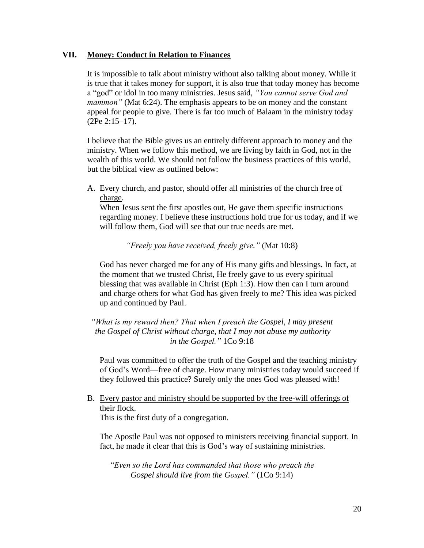#### **VII. Money: Conduct in Relation to Finances**

It is impossible to talk about ministry without also talking about money. While it is true that it takes money for support, it is also true that today money has become a "god" or idol in too many ministries. Jesus said, *"You cannot serve God and mammon*" (Mat 6:24). The emphasis appears to be on money and the constant appeal for people to give. There is far too much of Balaam in the ministry today (2Pe 2:15–17).

I believe that the Bible gives us an entirely different approach to money and the ministry. When we follow this method, we are living by faith in God, not in the wealth of this world. We should not follow the business practices of this world, but the biblical view as outlined below:

A. Every church, and pastor, should offer all ministries of the church free of charge.

When Jesus sent the first apostles out, He gave them specific instructions regarding money. I believe these instructions hold true for us today, and if we will follow them, God will see that our true needs are met.

*"Freely you have received, freely give."* (Mat 10:8)

God has never charged me for any of His many gifts and blessings. In fact, at the moment that we trusted Christ, He freely gave to us every spiritual blessing that was available in Christ (Eph 1:3). How then can I turn around and charge others for what God has given freely to me? This idea was picked up and continued by Paul.

*"What is my reward then? That when I preach the Gospel, I may present the Gospel of Christ without charge, that I may not abuse my authority in the Gospel."* 1Co 9:18

Paul was committed to offer the truth of the Gospel and the teaching ministry of God's Word—free of charge. How many ministries today would succeed if they followed this practice? Surely only the ones God was pleased with!

B. Every pastor and ministry should be supported by the free-will offerings of their flock.

This is the first duty of a congregation.

The Apostle Paul was not opposed to ministers receiving financial support. In fact, he made it clear that this is God's way of sustaining ministries.

*"Even so the Lord has commanded that those who preach the Gospel should live from the Gospel."* (1Co 9:14)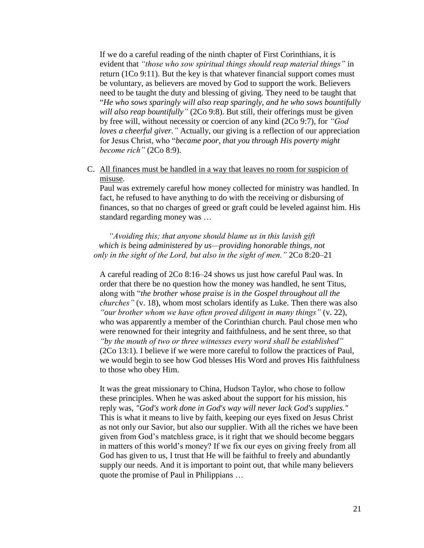If we do a careful reading of the ninth chapter of First Corinthians, it is evident that *"those who sow spiritual things should reap material things"* in return (1Co 9:11). But the key is that whatever financial support comes must be voluntary, as believers are moved by God to support the work. Believers need to be taught the duty and blessing of giving. They need to be taught that "*He who sows sparingly will also reap sparingly, and he who sows bountifully will also reap bountifully"* (2Co 9:8). But still, their offerings must be given by free will, without necessity or coercion of any kind (2Co 9:7), for *"God loves a cheerful giver."* Actually, our giving is a reflection of our appreciation for Jesus Christ, who "*became poor, that you through His poverty might become rich"* (2Co 8:9).

C. All finances must be handled in a way that leaves no room for suspicion of misuse.

Paul was extremely careful how money collected for ministry was handled. In fact, he refused to have anything to do with the receiving or disbursing of finances, so that no charges of greed or graft could be leveled against him. His standard regarding money was …

*"Avoiding this; that anyone should blame us in this lavish gift which is being administered by us—providing honorable things, not only in the sight of the Lord, but also in the sight of men."* 2Co 8:20–21

A careful reading of 2Co 8:16–24 shows us just how careful Paul was. In order that there be no question how the money was handled, he sent Titus, along with "*the brother whose praise is in the Gospel throughout all the churches"* (v. 18)*,* whom most scholars identify as Luke. Then there was also *"our brother whom we have often proved diligent in many things"* (v. 22), who was apparently a member of the Corinthian church. Paul chose men who were renowned for their integrity and faithfulness, and he sent three, so that *"by the mouth of two or three witnesses every word shall be established"*  (2Co 13:1). I believe if we were more careful to follow the practices of Paul, we would begin to see how God blesses His Word and proves His faithfulness to those who obey Him.

It was the great missionary to China, Hudson Taylor, who chose to follow these principles. When he was asked about the support for his mission, his reply was, *"God's work done in God's way will never lack God's supplies."* This is what it means to live by faith, keeping our eyes fixed on Jesus Christ as not only our Savior, but also our supplier. With all the riches we have been given from God's matchless grace, is it right that we should become beggars in matters of this world's money? If we fix our eyes on giving freely from all God has given to us, I trust that He will be faithful to freely and abundantly supply our needs. And it is important to point out, that while many believers quote the promise of Paul in Philippians …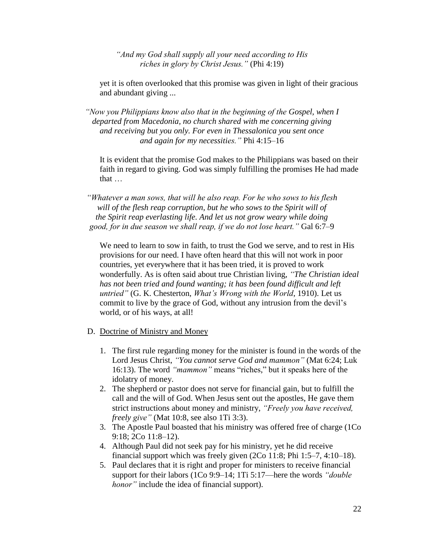*"And my God shall supply all your need according to His riches in glory by Christ Jesus."* (Phi 4:19)

yet it is often overlooked that this promise was given in light of their gracious and abundant giving ...

*"Now you Philippians know also that in the beginning of the Gospel, when I departed from Macedonia, no church shared with me concerning giving and receiving but you only. For even in Thessalonica you sent once and again for my necessities."* Phi 4:15–16

It is evident that the promise God makes to the Philippians was based on their faith in regard to giving. God was simply fulfilling the promises He had made that …

*"Whatever a man sows, that will he also reap. For he who sows to his flesh will of the flesh reap corruption, but he who sows to the Spirit will of the Spirit reap everlasting life. And let us not grow weary while doing good, for in due season we shall reap, if we do not lose heart."* Gal 6:7–9

We need to learn to sow in faith, to trust the God we serve, and to rest in His provisions for our need. I have often heard that this will not work in poor countries, yet everywhere that it has been tried, it is proved to work wonderfully. As is often said about true Christian living, *"The Christian ideal has not been tried and found wanting; it has been found difficult and left untried"* (G. K. Chesterton, *What's Wrong with the World*, 1910). Let us commit to live by the grace of God, without any intrusion from the devil's world, or of his ways, at all!

- D. Doctrine of Ministry and Money
	- 1. The first rule regarding money for the minister is found in the words of the Lord Jesus Christ, *"You cannot serve God and mammon"* (Mat 6:24; Luk 16:13). The word *"mammon"* means "riches," but it speaks here of the idolatry of money.
	- 2. The shepherd or pastor does not serve for financial gain, but to fulfill the call and the will of God. When Jesus sent out the apostles, He gave them strict instructions about money and ministry, *"Freely you have received, freely give"* (Mat 10:8, see also 1Ti 3:3).
	- 3. The Apostle Paul boasted that his ministry was offered free of charge (1Co 9:18; 2Co 11:8–12).
	- 4. Although Paul did not seek pay for his ministry, yet he did receive financial support which was freely given (2Co 11:8; Phi 1:5–7, 4:10–18).
	- 5. Paul declares that it is right and proper for ministers to receive financial support for their labors (1Co 9:9–14; 1Ti 5:17—here the words *"double honor"* include the idea of financial support).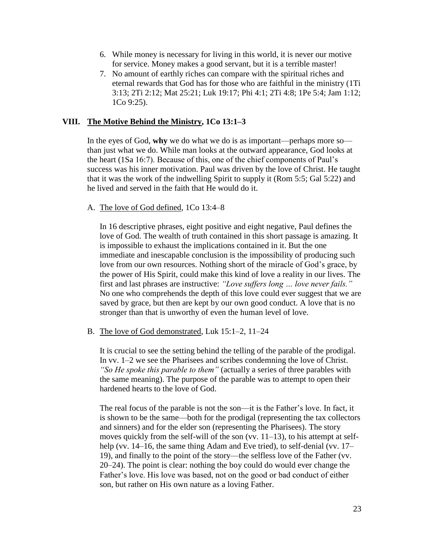- 6. While money is necessary for living in this world, it is never our motive for service. Money makes a good servant, but it is a terrible master!
- 7. No amount of earthly riches can compare with the spiritual riches and eternal rewards that God has for those who are faithful in the ministry (1Ti 3:13; 2Ti 2:12; Mat 25:21; Luk 19:17; Phi 4:1; 2Ti 4:8; 1Pe 5:4; Jam 1:12; 1Co 9:25).

#### **VIII. The Motive Behind the Ministry, 1Co 13:1–3**

In the eyes of God, **why** we do what we do is as important—perhaps more so than just what we do. While man looks at the outward appearance, God looks at the heart (1Sa 16:7). Because of this, one of the chief components of Paul's success was his inner motivation. Paul was driven by the love of Christ. He taught that it was the work of the indwelling Spirit to supply it (Rom 5:5; Gal 5:22) and he lived and served in the faith that He would do it.

#### A. The love of God defined, 1Co 13:4–8

In 16 descriptive phrases, eight positive and eight negative, Paul defines the love of God. The wealth of truth contained in this short passage is amazing. It is impossible to exhaust the implications contained in it. But the one immediate and inescapable conclusion is the impossibility of producing such love from our own resources. Nothing short of the miracle of God's grace, by the power of His Spirit, could make this kind of love a reality in our lives. The first and last phrases are instructive: *"Love suffers long … love never fails."* No one who comprehends the depth of this love could ever suggest that we are saved by grace, but then are kept by our own good conduct. A love that is no stronger than that is unworthy of even the human level of love.

#### B. The love of God demonstrated, Luk 15:1–2, 11–24

It is crucial to see the setting behind the telling of the parable of the prodigal. In vv. 1–2 we see the Pharisees and scribes condemning the love of Christ. *"So He spoke this parable to them"* (actually a series of three parables with the same meaning). The purpose of the parable was to attempt to open their hardened hearts to the love of God.

The real focus of the parable is not the son—it is the Father's love. In fact, it is shown to be the same—both for the prodigal (representing the tax collectors and sinners) and for the elder son (representing the Pharisees). The story moves quickly from the self-will of the son (vv. 11–13), to his attempt at selfhelp (vv. 14–16, the same thing Adam and Eve tried), to self-denial (vv. 17– 19), and finally to the point of the story—the selfless love of the Father (vv. 20–24). The point is clear: nothing the boy could do would ever change the Father's love. His love was based, not on the good or bad conduct of either son, but rather on His own nature as a loving Father.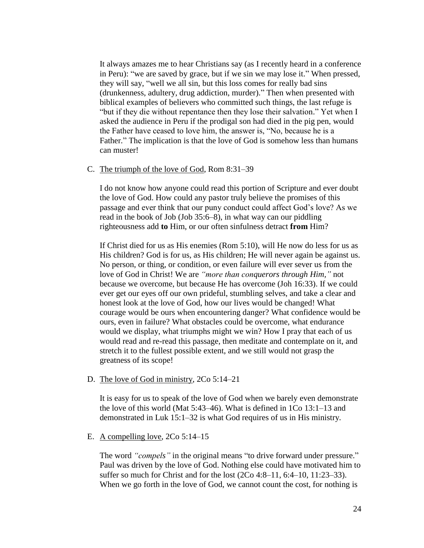It always amazes me to hear Christians say (as I recently heard in a conference in Peru): "we are saved by grace, but if we sin we may lose it." When pressed, they will say, "well we all sin, but this loss comes for really bad sins (drunkenness, adultery, drug addiction, murder)." Then when presented with biblical examples of believers who committed such things, the last refuge is "but if they die without repentance then they lose their salvation." Yet when I asked the audience in Peru if the prodigal son had died in the pig pen, would the Father have ceased to love him, the answer is, "No, because he is a Father." The implication is that the love of God is somehow less than humans can muster!

#### C. The triumph of the love of God, Rom 8:31–39

I do not know how anyone could read this portion of Scripture and ever doubt the love of God. How could any pastor truly believe the promises of this passage and ever think that our puny conduct could affect God's love? As we read in the book of Job (Job 35:6–8), in what way can our piddling righteousness add **to** Him, or our often sinfulness detract **from** Him?

If Christ died for us as His enemies (Rom 5:10), will He now do less for us as His children? God is for us, as His children; He will never again be against us. No person, or thing, or condition, or even failure will ever sever us from the love of God in Christ! We are *"more than conquerors through Him,"* not because we overcome, but because He has overcome (Joh 16:33). If we could ever get our eyes off our own prideful, stumbling selves, and take a clear and honest look at the love of God, how our lives would be changed! What courage would be ours when encountering danger? What confidence would be ours, even in failure? What obstacles could be overcome, what endurance would we display, what triumphs might we win? How I pray that each of us would read and re-read this passage, then meditate and contemplate on it, and stretch it to the fullest possible extent, and we still would not grasp the greatness of its scope!

#### D. The love of God in ministry, 2Co 5:14–21

It is easy for us to speak of the love of God when we barely even demonstrate the love of this world (Mat 5:43–46). What is defined in 1Co 13:1–13 and demonstrated in Luk 15:1–32 is what God requires of us in His ministry.

#### E. A compelling love,  $2Co\ 5:14-15$

The word *"compels"* in the original means "to drive forward under pressure." Paul was driven by the love of God. Nothing else could have motivated him to suffer so much for Christ and for the lost (2Co 4:8–11, 6:4–10, 11:23–33). When we go forth in the love of God, we cannot count the cost, for nothing is